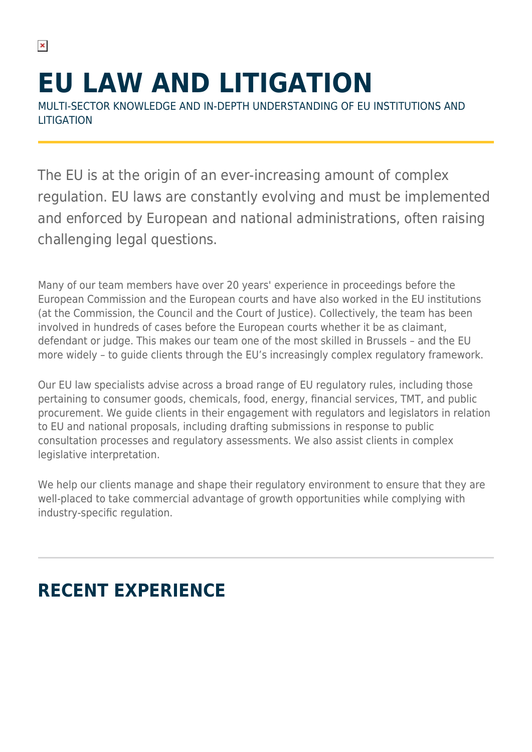# **EU LAW AND LITIGATION**

MULTI-SECTOR KNOWLEDGE AND IN-DEPTH UNDERSTANDING OF EU INSTITUTIONS AND **LITIGATION** 

The EU is at the origin of an ever-increasing amount of complex regulation. EU laws are constantly evolving and must be implemented and enforced by European and national administrations, often raising challenging legal questions.

Many of our team members have over 20 years' experience in proceedings before the European Commission and the European courts and have also worked in the EU institutions (at the Commission, the Council and the Court of Justice). Collectively, the team has been involved in hundreds of cases before the European courts whether it be as claimant, defendant or judge. This makes our team one of the most skilled in Brussels – and the EU more widely – to guide clients through the EU's increasingly complex regulatory framework.

Our EU law specialists advise across a broad range of EU regulatory rules, including those pertaining to consumer goods, chemicals, food, energy, financial services, TMT, and public procurement. We guide clients in their engagement with regulators and legislators in relation to EU and national proposals, including drafting submissions in response to public consultation processes and regulatory assessments. We also assist clients in complex legislative interpretation.

We help our clients manage and shape their regulatory environment to ensure that they are well-placed to take commercial advantage of growth opportunities while complying with industry-specific regulation.

## **RECENT EXPERIENCE**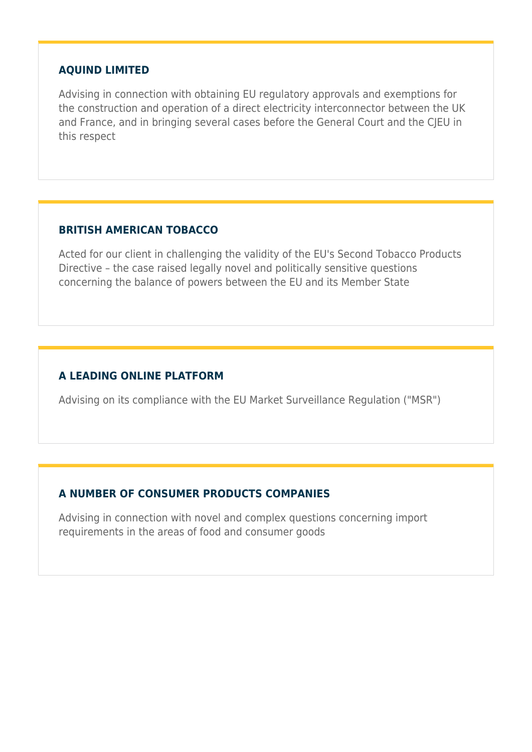#### **AQUIND LIMITED**

Advising in connection with obtaining EU regulatory approvals and exemptions for the construction and operation of a direct electricity interconnector between the UK and France, and in bringing several cases before the General Court and the CJEU in this respect

#### **BRITISH AMERICAN TOBACCO**

Acted for our client in challenging the validity of the EU's Second Tobacco Products Directive – the case raised legally novel and politically sensitive questions concerning the balance of powers between the EU and its Member State

#### **A LEADING ONLINE PLATFORM**

Advising on its compliance with the EU Market Surveillance Regulation ("MSR")

#### **A NUMBER OF CONSUMER PRODUCTS COMPANIES**

Advising in connection with novel and complex questions concerning import requirements in the areas of food and consumer goods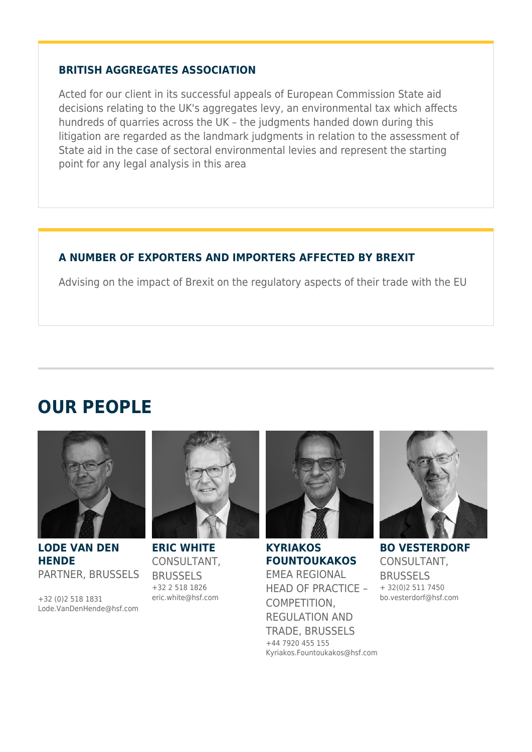#### **BRITISH AGGREGATES ASSOCIATION**

Acted for our client in its successful appeals of European Commission State aid decisions relating to the UK's aggregates levy, an environmental tax which affects hundreds of quarries across the UK – the judgments handed down during this litigation are regarded as the landmark judgments in relation to the assessment of State aid in the case of sectoral environmental levies and represent the starting point for any legal analysis in this area

#### **A NUMBER OF EXPORTERS AND IMPORTERS AFFECTED BY BREXIT**

Advising on the impact of Brexit on the regulatory aspects of their trade with the EU

### **OUR PEOPLE**



**LODE VAN DEN HENDE** PARTNER, BRUSSELS

+32 (0)2 518 1831 Lode.VanDenHende@hsf.com



**ERIC WHITE** CONSULTANT, BRUSSELS +32 2 518 1826 eric.white@hsf.com



**KYRIAKOS FOUNTOUKAKOS** EMEA REGIONAL HEAD OF PRACTICE – COMPETITION, REGULATION AND TRADE, BRUSSELS +44 7920 455 155 Kyriakos.Fountoukakos@hsf.com



**BO VESTERDORF** CONSULTANT, BRUSSELS + 32(0)2 511 7450 bo.vesterdorf@hsf.com